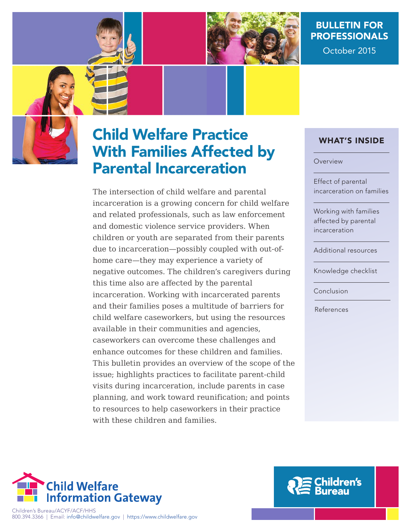

# BulletIn for **PROFESSIONALS**

October 2015

# Child Welfare Practice With families affected by Parental Incarceration

The intersection of child welfare and parental incarceration is a growing concern for child welfare and related professionals, such as law enforcement and domestic violence service providers. When children or youth are separated from their parents due to incarceration—possibly coupled with out-ofhome care—they may experience a variety of negative outcomes. The children's caregivers during this time also are affected by the parental incarceration. Working with incarcerated parents and their families poses a multitude of barriers for child welfare caseworkers, but using the resources available in their communities and agencies, caseworkers can overcome these challenges and enhance outcomes for these children and families. This bulletin provides an overview of the scope of the issue; highlights practices to facilitate parent-child visits during incarceration, include parents in case planning, and work toward reunification; and points to resources to help caseworkers in their practice with these children and families.

### What's InsIde

#### Overview

Effect of parental incarceration on families

Working with families affected by parental incarceration

Additional resources

Knowledge checklist

Conclusion

References



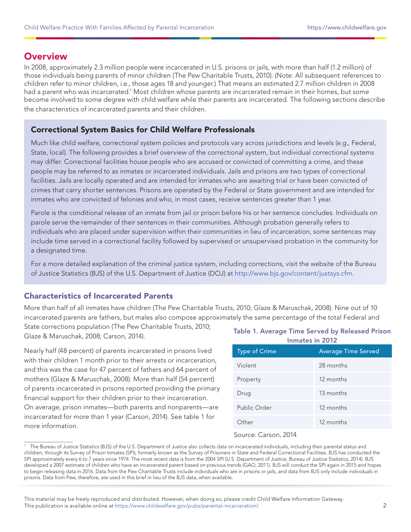# **Overview**

In 2008, approximately 2.3 million people were incarcerated in U.S. prisons or jails, with more than half (1.2 million) of those individuals being parents of minor children (The Pew Charitable Trusts, 2010). (Note: All subsequent references to children refer to minor children, i.e., those ages 18 and younger.) That means an estimated 2.7 million children in 2008 had a parent who was incarcerated.<sup>1</sup> Most children whose parents are incarcerated remain in their homes, but some become involved to some degree with child welfare while their parents are incarcerated. The following sections describe the characteristics of incarcerated parents and their children.

#### Correctional system Basics for Child Welfare Professionals

Much like child welfare, correctional system policies and protocols vary across jurisdictions and levels (e.g., Federal, State, local). The following provides a brief overview of the correctional system, but individual correctional systems may differ. Correctional facilities house people who are accused or convicted of committing a crime, and these people may be referred to as inmates or incarcerated individuals. Jails and prisons are two types of correctional facilities. Jails are locally operated and are intended for inmates who are awaiting trial or have been convicted of crimes that carry shorter sentences. Prisons are operated by the Federal or State government and are intended for inmates who are convicted of felonies and who, in most cases, receive sentences greater than 1 year.

Parole is the conditional release of an inmate from jail or prison before his or her sentence concludes. Individuals on parole serve the remainder of their sentences in their communities. Although probation generally refers to individuals who are placed under supervision within their communities in lieu of incarceration, some sentences may include time served in a correctional facility followed by supervised or unsupervised probation in the community for a designated time.

For a more detailed explanation of the criminal justice system, including corrections, visit the website of the Bureau of Justice Statistics (BJS) of the U.S. Department of Justice (DOJ) at [http://www.bjs.gov/content/justsys.cfm.](http://www.bjs.gov/content/justsys.cfm)

#### Characteristics of Incarcerated Parents

More than half of all inmates have children (The Pew Charitable Trusts, 2010; Glaze & Maruschak, 2008). Nine out of 10 incarcerated parents are fathers, but males also compose approximately the same percentage of the total Federal and

State corrections population (The Pew Charitable Trusts, 2010; Glaze & Maruschak, 2008; Carson, 2014).

Nearly half (48 percent) of parents incarcerated in prisons lived with their children 1 month prior to their arrests or incarceration, and this was the case for 47 percent of fathers and 64 percent of mothers (Glaze & Maruschak, 2008). More than half (54 percent) of parents incarcerated in prisons reported providing the primary financial support for their children prior to their incarceration. On average, prison inmates—both parents and nonparents—are incarcerated for more than 1 year (Carson, 2014). See table 1 for more information.

#### Table 1. Average Time Served by Released Prison Inmates in 2012

| <b>Type of Crime</b> | <b>Average Time Served</b> |
|----------------------|----------------------------|
| Violent              | 28 months                  |
| Property             | 12 months                  |
| Drug                 | 13 months                  |
| Public Order         | 12 months                  |
| ∩ther                | 12 months                  |

#### Source: Carson, 2014

<sup>&</sup>lt;sup>1</sup> The Bureau of Justice Statistics (BJS) of the U.S. Department of Justice also collects data on incarcerated individuals, including their parental status and children, through its Survey of Prison Inmates (SPI), formerly known as the Survey of Prisoners in State and Federal Correctional Facilities. BJS has conducted the SPI approximately every 6 to 7 years since 1974. The most recent data is from the 2004 SPI (U.S. Department of Justice, Bureau of Justice Statistics, 2014). BJS developed a 2007 estimate of children who have an incarcerated parent based on previous trends (GAO, 2011). BJS will conduct the SPI again in 2015 and hopes to begin releasing data in 2016. Data from the Pew Charitable Trusts include individuals who are in prisons or jails, and data from BJS only include individuals in prisons. Data from Pew, therefore, are used in this brief in lieu of the BJS data, when available.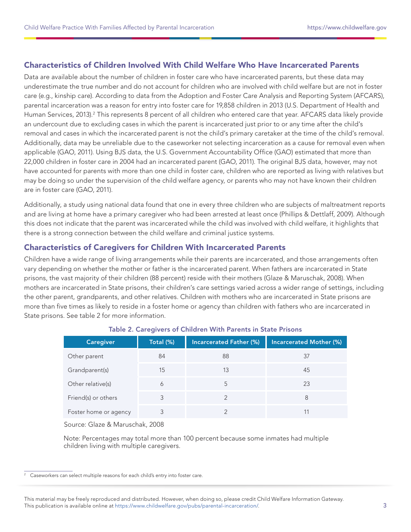#### Characteristics of Children Involved With Child Welfare Who have Incarcerated Parents

Data are available about the number of children in foster care who have incarcerated parents, but these data may underestimate the true number and do not account for children who are involved with child welfare but are not in foster care (e.g., kinship care). According to data from the Adoption and Foster Care Analysis and Reporting System (AFCARS), parental incarceration was a reason for entry into foster care for 19,858 children in 2013 (U.S. Department of Health and Human Services, 2013).<sup>2</sup> This represents 8 percent of all children who entered care that year. AFCARS data likely provide an undercount due to excluding cases in which the parent is incarcerated just prior to or any time after the child's removal and cases in which the incarcerated parent is not the child's primary caretaker at the time of the child's removal. Additionally, data may be unreliable due to the caseworker not selecting incarceration as a cause for removal even when applicable (GAO, 2011). Using BJS data, the U.S. Government Accountability Office (GAO) estimated that more than 22,000 children in foster care in 2004 had an incarcerated parent (GAO, 2011). The original BJS data, however, may not have accounted for parents with more than one child in foster care, children who are reported as living with relatives but may be doing so under the supervision of the child welfare agency, or parents who may not have known their children are in foster care (GAO, 2011).

Additionally, a study using national data found that one in every three children who are subjects of maltreatment reports and are living at home have a primary caregiver who had been arrested at least once (Phillips & Dettlaff, 2009). Although this does not indicate that the parent was incarcerated while the child was involved with child welfare, it highlights that there is a strong connection between the child welfare and criminal justice systems.

#### Characteristics of Caregivers for Children With Incarcerated Parents

Children have a wide range of living arrangements while their parents are incarcerated, and those arrangements often vary depending on whether the mother or father is the incarcerated parent. When fathers are incarcerated in State prisons, the vast majority of their children (88 percent) reside with their mothers (Glaze & Maruschak, 2008). When mothers are incarcerated in State prisons, their children's care settings varied across a wider range of settings, including the other parent, grandparents, and other relatives. Children with mothers who are incarcerated in State prisons are more than five times as likely to reside in a foster home or agency than children with fathers who are incarcerated in State prisons. See table 2 for more information.

| $\overline{\phantom{a}}$ |           |                         |                                |
|--------------------------|-----------|-------------------------|--------------------------------|
| <b>Caregiver</b>         | Total (%) | Incarcerated Father (%) | <b>Incarcerated Mother (%)</b> |
| Other parent             | 84        | 88                      | 37                             |
| Grandparent(s)           | 15        | 13                      | 45                             |
| Other relative(s)        | 6         | 5                       | 23                             |
| Friend(s) or others      | 3         |                         | 8                              |
| Foster home or agency    |           |                         |                                |

#### Table 2. Caregivers of Children With Parents in State Prisons

Source: Glaze & Maruschak, 2008

 Note: Percentages may total more than 100 percent because some inmates had multiple children living with multiple caregivers.

<sup>&</sup>lt;sup>2</sup> Caseworkers can select multiple reasons for each child's entry into foster care.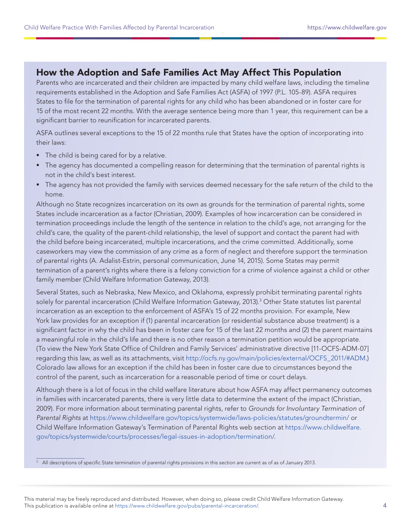# how the adoption and safe families act May affect this Population

Parents who are incarcerated and their children are impacted by many child welfare laws, including the timeline requirements established in the Adoption and Safe Families Act (ASFA) of 1997 (P.L. 105-89). ASFA requires States to file for the termination of parental rights for any child who has been abandoned or in foster care for 15 of the most recent 22 months. With the average sentence being more than 1 year, this requirement can be a significant barrier to reunification for incarcerated parents.

ASFA outlines several exceptions to the 15 of 22 months rule that States have the option of incorporating into their laws:

- The child is being cared for by a relative.
- The agency has documented a compelling reason for determining that the termination of parental rights is not in the child's best interest.
- The agency has not provided the family with services deemed necessary for the safe return of the child to the home.

Although no State recognizes incarceration on its own as grounds for the termination of parental rights, some States include incarceration as a factor (Christian, 2009). Examples of how incarceration can be considered in termination proceedings include the length of the sentence in relation to the child's age, not arranging for the child's care, the quality of the parent-child relationship, the level of support and contact the parent had with the child before being incarcerated, multiple incarcerations, and the crime committed. Additionally, some caseworkers may view the commission of any crime as a form of neglect and therefore support the termination of parental rights (A. Adalist-Estrin, personal communication, June 14, 2015). Some States may permit termination of a parent's rights where there is a felony conviction for a crime of violence against a child or other family member (Child Welfare Information Gateway, 2013).

Several States, such as Nebraska, New Mexico, and Oklahoma, expressly prohibit terminating parental rights solely for parental incarceration (Child Welfare Information Gateway, 2013).<sup>3</sup> Other State statutes list parental incarceration as an exception to the enforcement of ASFA's 15 of 22 months provision. For example, New York law provides for an exception if (1) parental incarceration (or residential substance abuse treatment) is a significant factor in why the child has been in foster care for 15 of the last 22 months and (2) the parent maintains a meaningful role in the child's life and there is no other reason a termination petition would be appropriate. (To view the New York State Office of Children and Family Services' administrative directive [11-OCFS-ADM-07] regarding this law, as well as its attachments, visit [http://ocfs.ny.gov/main/policies/external/OCFS\\_2011/#ADM.](http://ocfs.ny.gov/main/policies/external/OCFS_2011/#ADM)) Colorado law allows for an exception if the child has been in foster care due to circumstances beyond the control of the parent, such as incarceration for a reasonable period of time or court delays.

Although there is a lot of focus in the child welfare literature about how ASFA may affect permanency outcomes in families with incarcerated parents, there is very little data to determine the extent of the impact (Christian, 2009). For more information about terminating parental rights, refer to Grounds for Involuntary Termination of Parental Rights at<https://www.childwelfare.gov/topics/systemwide/laws-policies/statutes/groundtermin/> or Child Welfare Information Gateway's Termination of Parental Rights web section at [https://www.childwelfare.](https://www.childwelfare.gov/topics/systemwide/courts/processes/legal-issues-in-adoption/termination/) [gov/topics/systemwide/courts/processes/legal-issues-in-adoption/termination/](https://www.childwelfare.gov/topics/systemwide/courts/processes/legal-issues-in-adoption/termination/).

<sup>&</sup>lt;sup>3</sup> All descriptions of specific State termination of parental rights provisions in this section are current as of as of January 2013.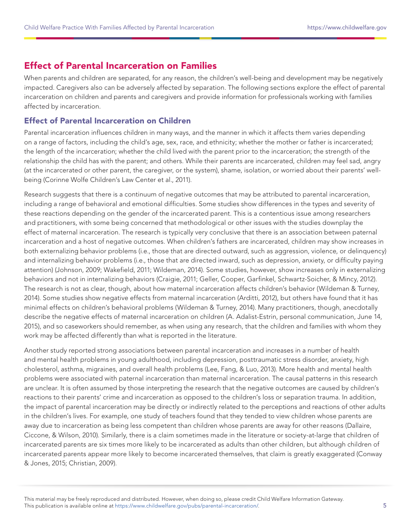# effect of Parental Incarceration on families

When parents and children are separated, for any reason, the children's well-being and development may be negatively impacted. Caregivers also can be adversely affected by separation. The following sections explore the effect of parental incarceration on children and parents and caregivers and provide information for professionals working with families affected by incarceration.

#### effect of Parental Incarceration on Children

Parental incarceration influences children in many ways, and the manner in which it affects them varies depending on a range of factors, including the child's age, sex, race, and ethnicity; whether the mother or father is incarcerated; the length of the incarceration; whether the child lived with the parent prior to the incarceration; the strength of the relationship the child has with the parent; and others. While their parents are incarcerated, children may feel sad, angry (at the incarcerated or other parent, the caregiver, or the system), shame, isolation, or worried about their parents' wellbeing (Corinne Wolfe Children's Law Center et al., 2011).

Research suggests that there is a continuum of negative outcomes that may be attributed to parental incarceration, including a range of behavioral and emotional difficulties. Some studies show differences in the types and severity of these reactions depending on the gender of the incarcerated parent. This is a contentious issue among researchers and practitioners, with some being concerned that methodological or other issues with the studies downplay the effect of maternal incarceration. The research is typically very conclusive that there is an association between paternal incarceration and a host of negative outcomes. When children's fathers are incarcerated, children may show increases in both externalizing behavior problems (i.e., those that are directed outward, such as aggression, violence, or delinquency) and internalizing behavior problems (i.e., those that are directed inward, such as depression, anxiety, or difficulty paying attention) (Johnson, 2009; Wakefield, 2011; Wildeman, 2014). Some studies, however, show increases only in externalizing behaviors and not in internalizing behaviors (Craigie, 2011; Geller, Cooper, Garfinkel, Schwartz-Soicher, & Mincy, 2012). The research is not as clear, though, about how maternal incarceration affects children's behavior (Wildeman & Turney, 2014). Some studies show negative effects from maternal incarceration (Arditti, 2012), but others have found that it has minimal effects on children's behavioral problems (Wildeman & Turney, 2014). Many practitioners, though, anecdotally describe the negative effects of maternal incarceration on children (A. Adalist-Estrin, personal communication, June 14, 2015), and so caseworkers should remember, as when using any research, that the children and families with whom they work may be affected differently than what is reported in the literature.

Another study reported strong associations between parental incarceration and increases in a number of health and mental health problems in young adulthood, including depression, posttraumatic stress disorder, anxiety, high cholesterol, asthma, migraines, and overall health problems (Lee, Fang, & Luo, 2013). More health and mental health problems were associated with paternal incarceration than maternal incarceration. The causal patterns in this research are unclear. It is often assumed by those interpreting the research that the negative outcomes are caused by children's reactions to their parents' crime and incarceration as opposed to the children's loss or separation trauma. In addition, the impact of parental incarceration may be directly or indirectly related to the perceptions and reactions of other adults in the children's lives. For example, one study of teachers found that they tended to view children whose parents are away due to incarceration as being less competent than children whose parents are away for other reasons (Dallaire, Ciccone, & Wilson, 2010). Similarly, there is a claim sometimes made in the literature or society-at-large that children of incarcerated parents are six times more likely to be incarcerated as adults than other children, but although children of incarcerated parents appear more likely to become incarcerated themselves, that claim is greatly exaggerated (Conway & Jones, 2015; Christian, 2009).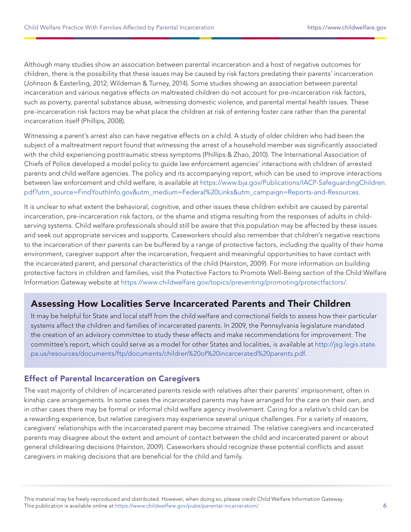Although many studies show an association between parental incarceration and a host of negative outcomes for children, there is the possibility that these issues may be caused by risk factors predating their parents' incarceration (Johnson & Easterling, 2012; Wildeman & Turney, 2014). Some studies showing an association between parental incarceration and various negative effects on maltreated children do not account for pre-incarceration risk factors, such as poverty, parental substance abuse, witnessing domestic violence, and parental mental health issues. These pre-incarceration risk factors may be what place the children at risk of entering foster care rather than the parental incarceration itself (Phillips, 2008).

Witnessing a parent's arrest also can have negative effects on a child. A study of older children who had been the subject of a maltreatment report found that witnessing the arrest of a household member was significantly associated with the child experiencing posttraumatic stress symptoms (Phillips & Zhao, 2010). The International Association of Chiefs of Police developed a model policy to guide law enforcement agencies' interactions with children of arrested parents and child welfare agencies. The policy and its accompanying report, which can be used to improve interactions between law enforcement and child welfare, is available at [https://www.bja.gov/Publications/IACP-SafeguardingChildren.](https://www.bja.gov/Publications/IACP-SafeguardingChildren.pdf?utm_source=FindYouthInfo.gov&utm_medium=Federal%20Links&utm_campaign=Reports-and-Resources) [pdf?utm\\_source=FindYouthInfo.gov&utm\\_medium=Federal%20Links&utm\\_campaign=Reports-and-Resources](https://www.bja.gov/Publications/IACP-SafeguardingChildren.pdf?utm_source=FindYouthInfo.gov&utm_medium=Federal%20Links&utm_campaign=Reports-and-Resources).

It is unclear to what extent the behavioral, cognitive, and other issues these children exhibit are caused by parental incarceration, pre-incarceration risk factors, or the shame and stigma resulting from the responses of adults in childserving systems. Child welfare professionals should still be aware that this population may be affected by these issues and seek out appropriate services and supports. Caseworkers should also remember that children's negative reactions to the incarceration of their parents can be buffered by a range of protective factors, including the quality of their home environment, caregiver support after the incarceration, frequent and meaningful opportunities to have contact with the incarcerated parent, and personal characteristics of the child (Hairston, 2009). For more information on building protective factors in children and families, visit the Protective Factors to Promote Well-Being section of the Child Welfare Information Gateway website at [https://www.childwelfare.gov/topics/preventing/promoting/protectfactors/.](https://www.childwelfare.gov/topics/preventing/promoting/protectfactors/)

# Assessing How Localities Serve Incarcerated Parents and Their Children

It may be helpful for State and local staff from the child welfare and correctional fields to assess how their particular systems affect the children and families of incarcerated parents. In 2009, the Pennsylvania legislature mandated the creation of an advisory committee to study these effects and make recommendations for improvement. The committee's report, which could serve as a model for other States and localities, is available at [http://jsg.legis.state.](http://jsg.legis.state.pa.us/resources/documents/ftp/documents/children%20of%20incarcerated%20parents.pdf) [pa.us/resources/documents/ftp/documents/children%20of%20incarcerated%20parents.pdf](http://jsg.legis.state.pa.us/resources/documents/ftp/documents/children%20of%20incarcerated%20parents.pdf).

#### **Effect of Parental Incarceration on Caregivers**

The vast majority of children of incarcerated parents reside with relatives after their parents' imprisonment, often in kinship care arrangements. In some cases the incarcerated parents may have arranged for the care on their own, and in other cases there may be formal or informal child welfare agency involvement. Caring for a relative's child can be a rewarding experience, but relative caregivers may experience several unique challenges. For a variety of reasons, caregivers' relationships with the incarcerated parent may become strained. The relative caregivers and incarcerated parents may disagree about the extent and amount of contact between the child and incarcerated parent or about general childrearing decisions (Hairston, 2009). Caseworkers should recognize these potential conflicts and assist caregivers in making decisions that are beneficial for the child and family.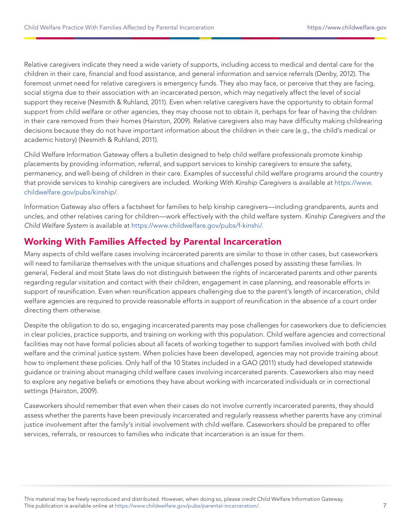Relative caregivers indicate they need a wide variety of supports, including access to medical and dental care for the children in their care, financial and food assistance, and general information and service referrals (Denby, 2012). The foremost unmet need for relative caregivers is emergency funds. They also may face, or perceive that they are facing, social stigma due to their association with an incarcerated person, which may negatively affect the level of social support they receive (Nesmith & Ruhland, 2011). Even when relative caregivers have the opportunity to obtain formal support from child welfare or other agencies, they may choose not to obtain it, perhaps for fear of having the children in their care removed from their homes (Hairston, 2009). Relative caregivers also may have difficulty making childrearing decisions because they do not have important information about the children in their care (e.g., the child's medical or academic history) (Nesmith & Ruhland, 2011).

Child Welfare Information Gateway offers a bulletin designed to help child welfare professionals promote kinship placements by providing information, referral, and support services to kinship caregivers to ensure the safety, permanency, and well-being of children in their care. Examples of successful child welfare programs around the country that provide services to kinship caregivers are included. Working With Kinship Caregivers is available at [https://www.](https://www.childwelfare.gov/pubs/kinship/) [childwelfare.gov/pubs/kinship/.](https://www.childwelfare.gov/pubs/kinship/)

Information Gateway also offers a factsheet for families to help kinship caregivers—including grandparents, aunts and uncles, and other relatives caring for children—work effectively with the child welfare system. Kinship Caregivers and the Child Welfare System is available at [https://www.childwelfare.gov/pubs/f-kinshi/.](https://www.childwelfare.gov/pubs/f-kinshi/)

# Working With families affected by Parental Incarceration

Many aspects of child welfare cases involving incarcerated parents are similar to those in other cases, but caseworkers will need to familiarize themselves with the unique situations and challenges posed by assisting these families. In general, Federal and most State laws do not distinguish between the rights of incarcerated parents and other parents regarding regular visitation and contact with their children, engagement in case planning, and reasonable efforts in support of reunification. Even when reunification appears challenging due to the parent's length of incarceration, child welfare agencies are required to provide reasonable efforts in support of reunification in the absence of a court order directing them otherwise.

Despite the obligation to do so, engaging incarcerated parents may pose challenges for caseworkers due to deficiencies in clear policies, practice supports, and training on working with this population. Child welfare agencies and correctional facilities may not have formal policies about all facets of working together to support families involved with both child welfare and the criminal justice system. When policies have been developed, agencies may not provide training about how to implement these policies. Only half of the 10 States included in a GAO (2011) study had developed statewide guidance or training about managing child welfare cases involving incarcerated parents. Caseworkers also may need to explore any negative beliefs or emotions they have about working with incarcerated individuals or in correctional settings (Hairston, 2009).

Caseworkers should remember that even when their cases do not involve currently incarcerated parents, they should assess whether the parents have been previously incarcerated and regularly reassess whether parents have any criminal justice involvement after the family's initial involvement with child welfare. Caseworkers should be prepared to offer services, referrals, or resources to families who indicate that incarceration is an issue for them.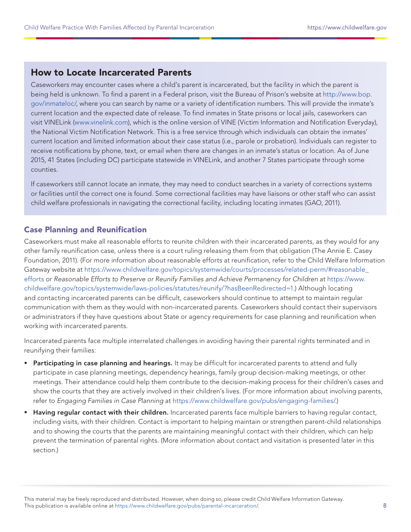# how to locate Incarcerated Parents

Caseworkers may encounter cases where a child's parent is incarcerated, but the facility in which the parent is being held is unknown. To find a parent in a Federal prison, visit the Bureau of Prison's website at [http://www.bop.](http://www.bop.gov/inmateloc/) [gov/inmateloc/](http://www.bop.gov/inmateloc/), where you can search by name or a variety of identification numbers. This will provide the inmate's current location and the expected date of release. To find inmates in State prisons or local jails, caseworkers can visit VINELink [\(www.vinelink.com\)](www.vinelink.com), which is the online version of VINE (Victim Information and Notification Everyday), the National Victim Notification Network. This is a free service through which individuals can obtain the inmates' current location and limited information about their case status (i.e., parole or probation). Individuals can register to receive notifications by phone, text, or email when there are changes in an inmate's status or location. As of June 2015, 41 States (including DC) participate statewide in VINELink, and another 7 States participate through some counties.

If caseworkers still cannot locate an inmate, they may need to conduct searches in a variety of corrections systems or facilities until the correct one is found. Some correctional facilities may have liaisons or other staff who can assist child welfare professionals in navigating the correctional facility, including locating inmates (GAO, 2011).

#### **Case Planning and Reunification**

Caseworkers must make all reasonable efforts to reunite children with their incarcerated parents, as they would for any other family reunification case, unless there is a court ruling releasing them from that obligation (The Annie E. Casey Foundation, 2011). (For more information about reasonable efforts at reunification, refer to the Child Welfare Information Gateway website at [https://www.childwelfare.gov/topics/systemwide/courts/processes/related-perm/#reasonable\\_](https://www.childwelfare.gov/topics/systemwide/courts/processes/related-perm/#reasonable_efforts) [efforts](https://www.childwelfare.gov/topics/systemwide/courts/processes/related-perm/#reasonable_efforts) or Reasonable Efforts to Preserve or Reunify Families and Achieve Permanency for Children at [https://www.](https://www.childwelfare.gov/topics/systemwide/laws-policies/statutes/reunify/?hasBeenRedirected=1) [childwelfare.gov/topics/systemwide/laws-policies/statutes/reunify/?hasBeenRedirected=1.](https://www.childwelfare.gov/topics/systemwide/laws-policies/statutes/reunify/?hasBeenRedirected=1)) Although locating and contacting incarcerated parents can be difficult, caseworkers should continue to attempt to maintain regular communication with them as they would with non-incarcerated parents. Caseworkers should contact their supervisors or administrators if they have questions about State or agency requirements for case planning and reunification when working with incarcerated parents.

Incarcerated parents face multiple interrelated challenges in avoiding having their parental rights terminated and in reunifying their families:

- **Participating in case planning and hearings.** It may be difficult for incarcerated parents to attend and fully participate in case planning meetings, dependency hearings, family group decision-making meetings, or other meetings. Their attendance could help them contribute to the decision-making process for their children's cases and show the courts that they are actively involved in their children's lives. (For more information about involving parents, refer to Engaging Families in Case Planning at<https://www.childwelfare.gov/pubs/engaging-families/>.)
- Having regular contact with their children. Incarcerated parents face multiple barriers to having regular contact, including visits, with their children. Contact is important to helping maintain or strengthen parent-child relationships and to showing the courts that the parents are maintaining meaningful contact with their children, which can help prevent the termination of parental rights. (More information about contact and visitation is presented later in this section.)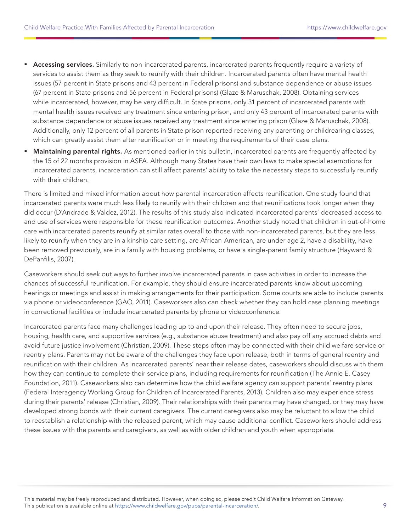- **Accessing services.** Similarly to non-incarcerated parents, incarcerated parents frequently require a variety of services to assist them as they seek to reunify with their children. Incarcerated parents often have mental health issues (57 percent in State prisons and 43 percent in Federal prisons) and substance dependence or abuse issues (67 percent in State prisons and 56 percent in Federal prisons) (Glaze & Maruschak, 2008). Obtaining services while incarcerated, however, may be very difficult. In State prisons, only 31 percent of incarcerated parents with mental health issues received any treatment since entering prison, and only 43 percent of incarcerated parents with substance dependence or abuse issues received any treatment since entering prison (Glaze & Maruschak, 2008). Additionally, only 12 percent of all parents in State prison reported receiving any parenting or childrearing classes, which can greatly assist them after reunification or in meeting the requirements of their case plans.
- Maintaining parental rights. As mentioned earlier in this bulletin, incarcerated parents are frequently affected by the 15 of 22 months provision in ASFA. Although many States have their own laws to make special exemptions for incarcerated parents, incarceration can still affect parents' ability to take the necessary steps to successfully reunify with their children.

There is limited and mixed information about how parental incarceration affects reunification. One study found that incarcerated parents were much less likely to reunify with their children and that reunifications took longer when they did occur (D'Andrade & Valdez, 2012). The results of this study also indicated incarcerated parents' decreased access to and use of services were responsible for these reunification outcomes. Another study noted that children in out-of-home care with incarcerated parents reunify at similar rates overall to those with non-incarcerated parents, but they are less likely to reunify when they are in a kinship care setting, are African-American, are under age 2, have a disability, have been removed previously, are in a family with housing problems, or have a single-parent family structure (Hayward & DePanfilis, 2007).

Caseworkers should seek out ways to further involve incarcerated parents in case activities in order to increase the chances of successful reunification. For example, they should ensure incarcerated parents know about upcoming hearings or meetings and assist in making arrangements for their participation. Some courts are able to include parents via phone or videoconference (GAO, 2011). Caseworkers also can check whether they can hold case planning meetings in correctional facilities or include incarcerated parents by phone or videoconference.

Incarcerated parents face many challenges leading up to and upon their release. They often need to secure jobs, housing, health care, and supportive services (e.g., substance abuse treatment) and also pay off any accrued debts and avoid future justice involvement (Christian, 2009). These steps often may be connected with their child welfare service or reentry plans. Parents may not be aware of the challenges they face upon release, both in terms of general reentry and reunification with their children. As incarcerated parents' near their release dates, caseworkers should discuss with them how they can continue to complete their service plans, including requirements for reunification (The Annie E. Casey Foundation, 2011). Caseworkers also can determine how the child welfare agency can support parents' reentry plans (Federal Interagency Working Group for Children of Incarcerated Parents, 2013). Children also may experience stress during their parents' release (Christian, 2009). Their relationships with their parents may have changed, or they may have developed strong bonds with their current caregivers. The current caregivers also may be reluctant to allow the child to reestablish a relationship with the released parent, which may cause additional conflict. Caseworkers should address these issues with the parents and caregivers, as well as with older children and youth when appropriate.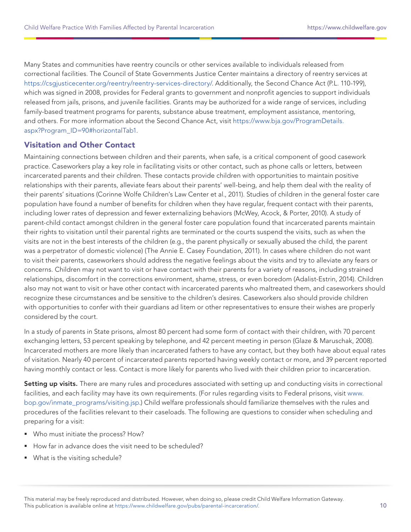Many States and communities have reentry councils or other services available to individuals released from correctional facilities. The Council of State Governments Justice Center maintains a directory of reentry services at <https://csgjusticecenter.org/reentry/reentry-services-directory/>. Additionally, the Second Chance Act (P.L. 110-199), which was signed in 2008, provides for Federal grants to government and nonprofit agencies to support individuals released from jails, prisons, and juvenile facilities. Grants may be authorized for a wide range of services, including family-based treatment programs for parents, substance abuse treatment, employment assistance, mentoring, and others. For more information about the Second Chance Act, visit [https://www.bja.gov/ProgramDetails.](https://www.bja.gov/ProgramDetails.aspx?Program_ID=90#horizontalTab1) [aspx?Program\\_ID=90#horizontalTab1](https://www.bja.gov/ProgramDetails.aspx?Program_ID=90#horizontalTab1).

#### Visitation and other Contact

Maintaining connections between children and their parents, when safe, is a critical component of good casework practice. Caseworkers play a key role in facilitating visits or other contact, such as phone calls or letters, between incarcerated parents and their children. These contacts provide children with opportunities to maintain positive relationships with their parents, alleviate fears about their parents' well-being, and help them deal with the reality of their parents' situations (Corinne Wolfe Children's Law Center et al., 2011). Studies of children in the general foster care population have found a number of benefits for children when they have regular, frequent contact with their parents, including lower rates of depression and fewer externalizing behaviors (McWey, Acock, & Porter, 2010). A study of parent-child contact amongst children in the general foster care population found that incarcerated parents maintain their rights to visitation until their parental rights are terminated or the courts suspend the visits, such as when the visits are not in the best interests of the children (e.g., the parent physically or sexually abused the child, the parent was a perpetrator of domestic violence) (The Annie E. Casey Foundation, 2011). In cases where children do not want to visit their parents, caseworkers should address the negative feelings about the visits and try to alleviate any fears or concerns. Children may not want to visit or have contact with their parents for a variety of reasons, including strained relationships, discomfort in the corrections environment, shame, stress, or even boredom (Adalist-Estrin, 2014). Children also may not want to visit or have other contact with incarcerated parents who maltreated them, and caseworkers should recognize these circumstances and be sensitive to the children's desires. Caseworkers also should provide children with opportunities to confer with their guardians ad litem or other representatives to ensure their wishes are properly considered by the court.

In a study of parents in State prisons, almost 80 percent had some form of contact with their children, with 70 percent exchanging letters, 53 percent speaking by telephone, and 42 percent meeting in person (Glaze & Maruschak, 2008). Incarcerated mothers are more likely than incarcerated fathers to have any contact, but they both have about equal rates of visitation. Nearly 40 percent of incarcerated parents reported having weekly contact or more, and 39 percent reported having monthly contact or less. Contact is more likely for parents who lived with their children prior to incarceration.

Setting up visits. There are many rules and procedures associated with setting up and conducting visits in correctional facilities, and each facility may have its own requirements. (For rules regarding visits to Federal prisons, visit [www.](www.bop.gov/inmate_programs/visiting.jsp) [bop.gov/inmate\\_programs/visiting.jsp](www.bop.gov/inmate_programs/visiting.jsp).) Child welfare professionals should familiarize themselves with the rules and procedures of the facilities relevant to their caseloads. The following are questions to consider when scheduling and preparing for a visit:

- Who must initiate the process? How?
- How far in advance does the visit need to be scheduled?
- **What is the visiting schedule?**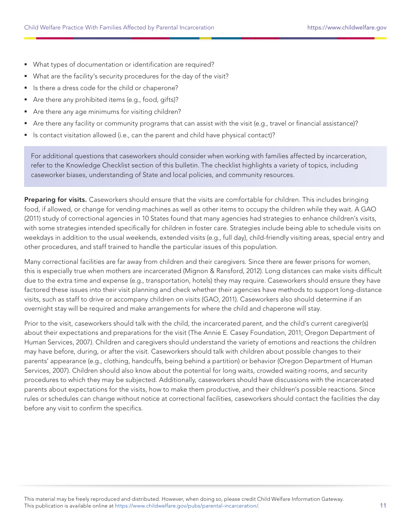- What types of documentation or identification are required?
- What are the facility's security procedures for the day of the visit?
- If Is there a dress code for the child or chaperone?
- Are there any prohibited items (e.g., food, gifts)?
- Are there any age minimums for visiting children?
- Are there any facility or community programs that can assist with the visit (e.g., travel or financial assistance)?
- Is contact visitation allowed (i.e., can the parent and child have physical contact)?

For additional questions that caseworkers should consider when working with families affected by incarceration, refer to the Knowledge Checklist section of this bulletin. The checklist highlights a variety of topics, including caseworker biases, understanding of State and local policies, and community resources.

Preparing for visits. Caseworkers should ensure that the visits are comfortable for children. This includes bringing food, if allowed, or change for vending machines as well as other items to occupy the children while they wait. A GAO (2011) study of correctional agencies in 10 States found that many agencies had strategies to enhance children's visits, with some strategies intended specifically for children in foster care. Strategies include being able to schedule visits on weekdays in addition to the usual weekends, extended visits (e.g., full day), child-friendly visiting areas, special entry and other procedures, and staff trained to handle the particular issues of this population.

Many correctional facilities are far away from children and their caregivers. Since there are fewer prisons for women, this is especially true when mothers are incarcerated (Mignon & Ransford, 2012). Long distances can make visits difficult due to the extra time and expense (e.g., transportation, hotels) they may require. Caseworkers should ensure they have factored these issues into their visit planning and check whether their agencies have methods to support long-distance visits, such as staff to drive or accompany children on visits (GAO, 2011). Caseworkers also should determine if an overnight stay will be required and make arrangements for where the child and chaperone will stay.

Prior to the visit, caseworkers should talk with the child, the incarcerated parent, and the child's current caregiver(s) about their expectations and preparations for the visit (The Annie E. Casey Foundation, 2011; Oregon Department of Human Services, 2007). Children and caregivers should understand the variety of emotions and reactions the children may have before, during, or after the visit. Caseworkers should talk with children about possible changes to their parents' appearance (e.g., clothing, handcuffs, being behind a partition) or behavior (Oregon Department of Human Services, 2007). Children should also know about the potential for long waits, crowded waiting rooms, and security procedures to which they may be subjected. Additionally, caseworkers should have discussions with the incarcerated parents about expectations for the visits, how to make them productive, and their children's possible reactions. Since rules or schedules can change without notice at correctional facilities, caseworkers should contact the facilities the day before any visit to confirm the specifics.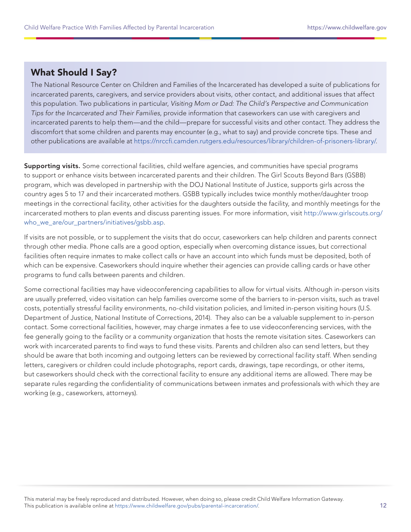# **What Should I Say?**

The National Resource Center on Children and Families of the Incarcerated has developed a suite of publications for incarcerated parents, caregivers, and service providers about visits, other contact, and additional issues that affect this population. Two publications in particular, Visiting Mom or Dad: The Child's Perspective and Communication Tips for the Incarcerated and Their Families, provide information that caseworkers can use with caregivers and incarcerated parents to help them—and the child—prepare for successful visits and other contact. They address the discomfort that some children and parents may encounter (e.g., what to say) and provide concrete tips. These and other publications are available at [https://nrccfi.camden.rutgers.edu/resources/library/children-of-prisoners-library/.](https://nrccfi.camden.rutgers.edu/resources/library/children-of-prisoners-library/)

Supporting visits. Some correctional facilities, child welfare agencies, and communities have special programs to support or enhance visits between incarcerated parents and their children. The Girl Scouts Beyond Bars (GSBB) program, which was developed in partnership with the DOJ National Institute of Justice, supports girls across the country ages 5 to 17 and their incarcerated mothers. GSBB typically includes twice monthly mother/daughter troop meetings in the correctional facility, other activities for the daughters outside the facility, and monthly meetings for the incarcerated mothers to plan events and discuss parenting issues. For more information, visit [http://www.girlscouts.org/](http://www.girlscouts.org/who_we_are/our_partners/initiatives/gsbb.asp) who we are/our partners/initiatives/gsbb.asp.

If visits are not possible, or to supplement the visits that do occur, caseworkers can help children and parents connect through other media. Phone calls are a good option, especially when overcoming distance issues, but correctional facilities often require inmates to make collect calls or have an account into which funds must be deposited, both of which can be expensive. Caseworkers should inquire whether their agencies can provide calling cards or have other programs to fund calls between parents and children.

Some correctional facilities may have videoconferencing capabilities to allow for virtual visits. Although in-person visits are usually preferred, video visitation can help families overcome some of the barriers to in-person visits, such as travel costs, potentially stressful facility environments, no-child visitation policies, and limited in-person visiting hours (U.S. Department of Justice, National Institute of Corrections, 2014). They also can be a valuable supplement to in-person contact. Some correctional facilities, however, may charge inmates a fee to use videoconferencing services, with the fee generally going to the facility or a community organization that hosts the remote visitation sites. Caseworkers can work with incarcerated parents to find ways to fund these visits. Parents and children also can send letters, but they should be aware that both incoming and outgoing letters can be reviewed by correctional facility staff. When sending letters, caregivers or children could include photographs, report cards, drawings, tape recordings, or other items, but caseworkers should check with the correctional facility to ensure any additional items are allowed. There may be separate rules regarding the confidentiality of communications between inmates and professionals with which they are working (e.g., caseworkers, attorneys).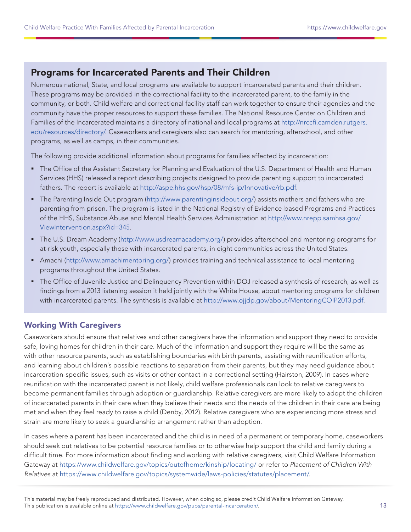# Programs for Incarcerated Parents and Their Children

Numerous national, State, and local programs are available to support incarcerated parents and their children. These programs may be provided in the correctional facility to the incarcerated parent, to the family in the community, or both. Child welfare and correctional facility staff can work together to ensure their agencies and the community have the proper resources to support these families. The National Resource Center on Children and Families of the Incarcerated maintains a directory of national and local programs at [http://nrccfi.camden.rutgers.](http://nrccfi.camden.rutgers.edu/resources/directory/) [edu/resources/directory/.](http://nrccfi.camden.rutgers.edu/resources/directory/) Caseworkers and caregivers also can search for mentoring, afterschool, and other programs, as well as camps, in their communities.

The following provide additional information about programs for families affected by incarceration:

- The Office of the Assistant Secretary for Planning and Evaluation of the U.S. Department of Health and Human Services (HHS) released a report describing projects designed to provide parenting support to incarcerated fathers. The report is available at <http://aspe.hhs.gov/hsp/08/mfs-ip/Innovative/rb.pdf>.
- The Parenting Inside Out program ([http://www.parentinginsideout.org/\)](http://www.parentinginsideout.org/) assists mothers and fathers who are parenting from prison. The program is listed in the National Registry of Evidence-based Programs and Practices of the HHS, Substance Abuse and Mental Health Services Administration at [http://www.nrepp.samhsa.gov/](http://www.nrepp.samhsa.gov/ViewIntervention.aspx?id=345) [ViewIntervention.aspx?id=345](http://www.nrepp.samhsa.gov/ViewIntervention.aspx?id=345).
- The U.S. Dream Academy [\(http://www.usdreamacademy.org/\)](http://www.usdreamacademy.org/) provides afterschool and mentoring programs for at-risk youth, especially those with incarcerated parents, in eight communities across the United States.
- ntanachi (<http://www.amachimentoring.org/>) provides training and technical assistance to local mentoring programs thr oughout the United States.
- The Office of Juvenile Justice and Delinquency Prevention within DOJ released a synthesis of research, as well as findings from a 2013 listening session it held jointly with the White House, about mentoring programs for children with incarcerated parents. The synthesis is available at <http://www.ojjdp.gov/about/MentoringCOIP2013.pdf>.

#### Working With Caregivers

Caseworkers should ensure that relatives and other caregivers have the information and support they need to provide safe, loving homes for children in their care. Much of the information and support they require will be the same as with other resource parents, such as establishing boundaries with birth parents, assisting with reunification efforts, and learning about children's possible reactions to separation from their parents, but they may need guidance about incarceration-specific issues, such as visits or other contact in a correctional setting (Hairston, 2009). In cases where reunification with the incarcerated parent is not likely, child welfare professionals can look to relative caregivers to become permanent families through adoption or guardianship. Relative caregivers are more likely to adopt the children of incarcerated parents in their care when they believe their needs and the needs of the children in their care are being met and when they feel ready to raise a child (Denby, 2012). Relative caregivers who are experiencing more stress and strain are more likely to seek a guardianship arrangement rather than adoption.

In cases where a parent has been incarcerated and the child is in need of a permanent or temporary home, caseworkers should seek out relatives to be potential resource families or to otherwise help support the child and family during a difficult time. For more information about finding and working with relative caregivers, visit Child Welfare Information Gateway at <https://www.childwelfare.gov/topics/outofhome/kinship/locating/> or refer to Placement of Children With Relatives at [https://www.childwelfare.gov/topics/systemwide/laws-policies/statutes/placement/.](https://www.childwelfare.gov/topics/systemwide/laws-policies/statutes/placement/)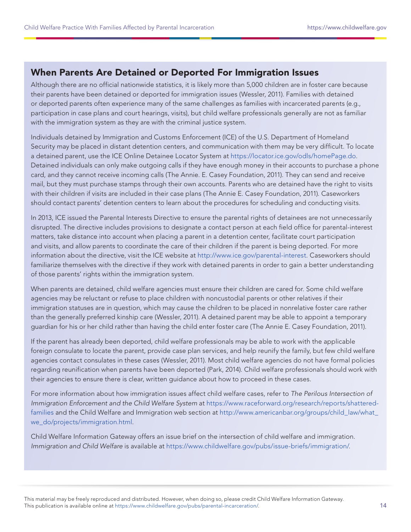# When Parents Are Detained or Deported For Immigration Issues

Although there are no official nationwide statistics, it is likely more than 5,000 children are in foster care because their parents have been detained or deported for immigration issues (Wessler, 2011). Families with detained or deported parents often experience many of the same challenges as families with incarcerated parents (e.g., participation in case plans and court hearings, visits), but child welfare professionals generally are not as familiar with the immigration system as they are with the criminal justice system.

Individuals detained by Immigration and Customs Enforcement (ICE) of the U.S. Department of Homeland Security may be placed in distant detention centers, and communication with them may be very difficult. To locate a detained parent, use the ICE Online Detainee Locator System at <https://locator.ice.gov/odls/homePage.do>. Detained individuals can only make outgoing calls if they have enough money in their accounts to purchase a phone card, and they cannot receive incoming calls (The Annie. E. Casey Foundation, 2011). They can send and receive mail, but they must purchase stamps through their own accounts. Parents who are detained have the right to visits with their children if visits are included in their case plans (The Annie E. Casey Foundation, 2011). Caseworkers should contact parents' detention centers to learn about the procedures for scheduling and conducting visits.

In 2013, ICE issued the Parental Interests Directive to ensure the parental rights of detainees are not unnecessarily disrupted. The directive includes provisions to designate a contact person at each field office for parental-interest matters, take distance into account when placing a parent in a detention center, facilitate court participation and visits, and allow parents to coordinate the care of their children if the parent is being deported. For more information about the directive, visit the ICE website at<http://www.ice.gov/parental-interest>. Caseworkers should familiarize themselves with the directive if they work with detained parents in order to gain a better understanding of those parents' rights within the immigration system.

When parents are detained, child welfare agencies must ensure their children are cared for. Some child welfare agencies may be reluctant or refuse to place children with noncustodial parents or other relatives if their immigration statuses are in question, which may cause the children to be placed in nonrelative foster care rather than the generally preferred kinship care (Wessler, 2011). A detained parent may be able to appoint a temporary guardian for his or her child rather than having the child enter foster care (The Annie E. Casey Foundation, 2011).

If the parent has already been deported, child welfare professionals may be able to work with the applicable foreign consulate to locate the parent, provide case plan services, and help reunify the family, but few child welfare agencies contact consulates in these cases (Wessler, 2011). Most child welfare agencies do not have formal policies regarding reunification when parents have been deported (Park, 2014). Child welfare professionals should work with their agencies to ensure there is clear, written guidance about how to proceed in these cases.

For more information about how immigration issues affect child welfare cases, refer to The Perilous Intersection of Immigration Enforcement and the Child Welfare System at [https://www.raceforward.org/research/reports/shattered](https://www.raceforward.org/research/reports/shattered-families)[families](https://www.raceforward.org/research/reports/shattered-families) and the Child Welfare and Immigration web section at [http://www.americanbar.org/groups/child\\_law/what\\_](http://www.americanbar.org/groups/child_law/what_we_do/projects/immigration.html) [we\\_do/projects/immigration.html.](http://www.americanbar.org/groups/child_law/what_we_do/projects/immigration.html)

Child Welfare Information Gateway offers an issue brief on the intersection of child welfare and immigration. Immigration and Child Welfare is available at [https://www.childwelfare.gov/pubs/issue-briefs/immigration/.](https://www.childwelfare.gov/pubs/issue-briefs/immigration/)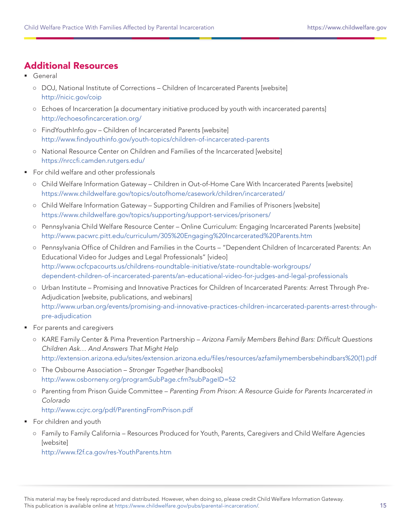# **Additional Resources**

- General
	- **○** DOJ, National Institute of Corrections Children of Incarcerated Parents [website] <http://nicic.gov/coip>
	- **○** Echoes of Incarceration [a documentary initiative produced by youth with incarcerated parents] <http://echoesofincarceration.org/>
	- **○** FindYouthInfo.gov Children of Incarcerated Parents [website] <http://www.findyouthinfo.gov/youth-topics/children-of-incarcerated-parents>
	- **○** National Resource Center on Children and Families of the Incarcerated [website] <https://nrccfi.camden.rutgers.edu/>
- For child welfare and other professionals
	- **○** Child Welfare Information Gateway Children in Out-of-Home Care With Incarcerated Parents [website] <https://www.childwelfare.gov/topics/outofhome/casework/children/incarcerated/>
	- **○** Child Welfare Information Gateway Supporting Children and Families of Prisoners [website] <https://www.childwelfare.gov/topics/supporting/support-services/prisoners/>
	- **○** Pennsylvania Child Welfare Resource Center Online Curriculum: Engaging Incarcerated Parents [website] <http://www.pacwrc.pitt.edu/curriculum/305%20Engaging%20Incarcerated%20Parents.htm>
	- **○** Pennsylvania Office of Children and Families in the Courts "Dependent Children of Incarcerated Parents: An Educational Video for Judges and Legal Professionals" [video] [http://www.ocfcpacourts.us/childrens-roundtable-initiative/state-roundtable-workgroups/](http://www.ocfcpacourts.us/childrens-roundtable-initiative/state-roundtable-workgroups/dependent-children-of-incarcerated-parents/an-educational-video-for-judges-and-legal-professionals) [dependent-children-of-incarcerated-parents/an-educational-video-for-judges-and-legal-professionals](http://www.ocfcpacourts.us/childrens-roundtable-initiative/state-roundtable-workgroups/dependent-children-of-incarcerated-parents/an-educational-video-for-judges-and-legal-professionals)
	- **○** Urban Institute Promising and Innovative Practices for Children of Incarcerated Parents: Arrest Through Pre-Adjudication [website, publications, and webinars] [http://www.urban.org/events/promising-and-innovative-practices-children-incarcerated-parents-arrest-through](http://www.urban.org/events/promising-and-innovative-practices-children-incarcerated-parents-arrest-through-pre-adjudication)[pre-adjudication](http://www.urban.org/events/promising-and-innovative-practices-children-incarcerated-parents-arrest-through-pre-adjudication)
- **For parents and caregivers** 
	- **○** KARE Family Center & Pima Prevention Partnership Arizona Family Members Behind Bars: Difficult Questions Children Ask… And Answers That Might Help [http://extension.arizona.edu/sites/extension.arizona.edu/files/resources/azfamilymembersbehindbars%20\(1\).pdf](http://extension.arizona.edu/sites/extension.arizona.edu/files/resources/azfamilymembersbehindbars%20(1).pdf)
	- **○** The Osbourne Association Stronger Together [handbooks] <http://www.osborneny.org/programSubPage.cfm?subPageID=52>
	- **○** Parenting from Prison Guide Committee Parenting From Prison: A Resource Guide for Parents Incarcerated in Colorado <http://www.ccjrc.org/pdf/ParentingFromPrison.pdf>
- **For children and youth** 
	- **○** Family to Family California Resources Produced for Youth, Parents, Caregivers and Child Welfare Agencies [website]

<http://www.f2f.ca.gov/res-YouthParents.htm>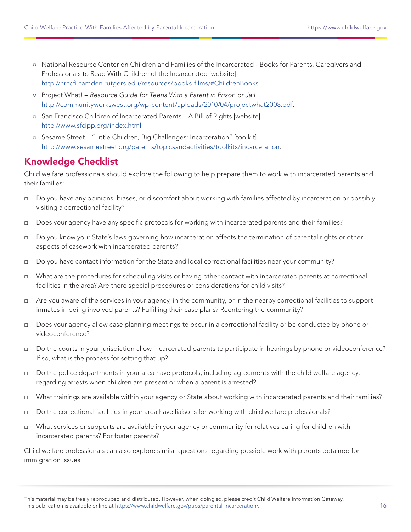- **○** National Resource Center on Children and Families of the Incarcerated Books for Parents, Caregivers and Professionals to Read With Children of the Incarcerated [website] <http://nrccfi.camden.rutgers.edu/resources/books-films/#ChildrenBooks>
- **○** Project What! Resource Guide for Teens With a Parent in Prison or Jail <http://communityworkswest.org/wp-content/uploads/2010/04/projectwhat2008.pdf>.
- **○** San Francisco Children of Incarcerated Parents A Bill of Rights [website] <http://www.sfcipp.org/index.html>
- **○** Sesame Street "Little Children, Big Challenges: Incarceration" [toolkit] [http://www.sesamestreet.org/parents/topicsandactivities/toolkits/incarceration.](http://www.sesamestreet.org/parents/topicsandactivities/toolkits/incarceration)

# Knowledge Checklist

Child welfare professionals should explore the following to help prepare them to work with incarcerated parents and their families:

- □ Do you have any opinions, biases, or discomfort about working with families affected by incarceration or possibly visiting a correctional facility?
- □ Does your agency have any specific protocols for working with incarcerated parents and their families?
- □ Do you know your State's laws governing how incarceration affects the termination of parental rights or other aspects of casework with incarcerated parents?
- □ Do you have contact information for the State and local correctional facilities near your community?
- □ What are the procedures for scheduling visits or having other contact with incarcerated parents at correctional facilities in the area? Are there special procedures or considerations for child visits?
- □ Are you aware of the services in your agency, in the community, or in the nearby correctional facilities to support inmates in being involved parents? Fulfilling their case plans? Reentering the community?
- □ Does your agency allow case planning meetings to occur in a correctional facility or be conducted by phone or videoconference?
- □ Do the courts in your jurisdiction allow incarcerated parents to participate in hearings by phone or videoconference? If so, what is the process for setting that up?
- □ Do the police departments in your area have protocols, including agreements with the child welfare agency, regarding arrests when children are present or when a parent is arrested?
- □ What trainings are available within your agency or State about working with incarcerated parents and their families?
- □ Do the correctional facilities in your area have liaisons for working with child welfare professionals?
- □ What services or supports are available in your agency or community for relatives caring for children with incarcerated parents? For foster parents?

Child welfare professionals can also explore similar questions regarding possible work with parents detained for immigration issues.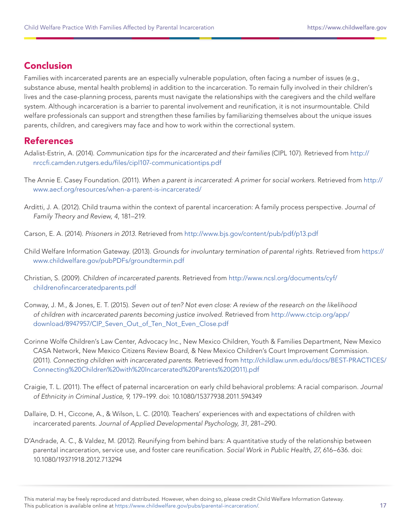# Conclusion

Families with incarcerated parents are an especially vulnerable population, often facing a number of issues (e.g., substance abuse, mental health problems) in addition to the incarceration. To remain fully involved in their children's lives and the case-planning process, parents must navigate the relationships with the caregivers and the child welfare system. Although incarceration is a barrier to parental involvement and reunification, it is not insurmountable. Child welfare professionals can support and strengthen these families by familiarizing themselves about the unique issues parents, children, and caregivers may face and how to work within the correctional system.

# **References**

- Adalist-Estrin, A. (2014). Communication tips for the incarcerated and their families (CIPL 107). Retrieved from [http://](http://nrccfi.camden.rutgers.edu/files/cipl107-communicationtips.pdf) [nrccfi.camden.rutgers.edu/files/cipl107-communicationtips.pdf](http://nrccfi.camden.rutgers.edu/files/cipl107-communicationtips.pdf)
- The Annie E. Casey Foundation. (2011). When a parent is incarcerated: A primer for social workers. Retrieved from [http://](http://www.aecf.org/resources/when-a-parent-is-incarcerated/) [www.aecf.org/resources/when-a-parent-is-incarcerated/](http://www.aecf.org/resources/when-a-parent-is-incarcerated/)
- Arditti, J. A. (2012). Child trauma within the context of parental incarceration: A family process perspective. Journal of Family Theory and Review, 4, 181–219.
- Carson, E. A. (2014). Prisoners in 2013. Retrieved from <http://www.bjs.gov/content/pub/pdf/p13.pdf>
- Child Welfare Information Gateway. (2013). Grounds for involuntary termination of parental rights. Retrieved from [https://](https://www.childwelfare.gov/pubPDFs/groundtermin.pdf) [www.childwelfare.gov/pubPDFs/groundtermin.pdf](https://www.childwelfare.gov/pubPDFs/groundtermin.pdf)
- Christian, S. (2009). Children of incarcerated parents. Retrieved from [http://www.ncsl.org/documents/cyf/](http://www.ncsl.org/documents/cyf/childrenofincarceratedparents.pdf) [childrenofincarceratedparents.pdf](http://www.ncsl.org/documents/cyf/childrenofincarceratedparents.pdf)
- Conway, J. M., & Jones, E. T. (2015). Seven out of ten? Not even close: A review of the research on the likelihood of children with incarcerated parents becoming justice involved. Retrieved from [http://www.ctcip.org/app/](http://www.ctcip.org/app/download/8947957/CIP_Seven_Out_of_Ten_Not_Even_Close.pdf) [download/8947957/CIP\\_Seven\\_Out\\_of\\_Ten\\_Not\\_Even\\_Close.pdf](http://www.ctcip.org/app/download/8947957/CIP_Seven_Out_of_Ten_Not_Even_Close.pdf)
- Corinne Wolfe Children's Law Center, Advocacy Inc., New Mexico Children, Youth & Families Department, New Mexico CASA Network, New Mexico Citizens Review Board, & New Mexico Children's Court Improvement Commission. (2011). Connecting children with incarcerated parents. Retrieved from [http://childlaw.unm.edu/docs/BEST-PRACTICES/](http://childlaw.unm.edu/docs/BEST-PRACTICES/Connecting%20Children%20with%20Incarcerated%20Parents%20(2011).pdf) [Connecting%20Children%20with%20Incarcerated%20Parents%20\(2011\).pdf](http://childlaw.unm.edu/docs/BEST-PRACTICES/Connecting%20Children%20with%20Incarcerated%20Parents%20(2011).pdf)
- Craigie, T. L. (2011). The effect of paternal incarceration on early child behavioral problems: A racial comparison. Journal of Ethnicity in Criminal Justice, 9, 179–199. doi: 10.1080/15377938.2011.594349
- Dallaire, D. H., Ciccone, A., & Wilson, L. C. (2010). Teachers' experiences with and expectations of children with incarcerated parents. Journal of Applied Developmental Psychology, 31, 281–290.
- D'Andrade, A. C., & Valdez, M. (2012). Reunifying from behind bars: A quantitative study of the relationship between parental incarceration, service use, and foster care reunification. Social Work in Public Health, 27, 616–636. doi: 10.1080/19371918.2012.713294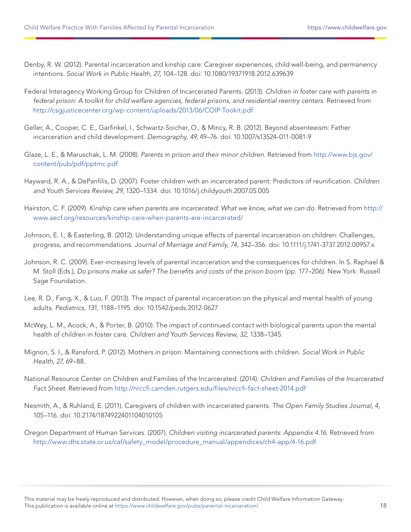- Denby, R. W. (2012). Parental incarceration and kinship care: Caregiver experiences, child well-being, and permanency intentions. Social Work in Public Health, 27, 104–128. doi: 10.1080/19371918.2012.639639
- Federal Interagency Working Group for Children of Incarcerated Parents. (2013). Children in foster care with parents in federal prison: A toolkit for child welfare agencies, federal prisons, and residential reentry centers. Retrieved from <http://csgjusticecenter.org/wp-content/uploads/2013/06/COIP-Tookit.pdf>
- Geller, A., Cooper, C. E., Garfinkel, I., Schwartz-Soicher, O., & Mincy, R. B. (2012). Beyond absenteeism: Father incarceration and child development. Demography, 49, 49–76. doi: 10.1007/s13524-011-0081-9
- Glaze, L. E., & Maruschak, L. M. (2008). Parents in prison and their minor children. Retrieved from [http://www.bjs.gov/](http://www.bjs.gov/content/pub/pdf/pptmc.pdf) [content/pub/pdf/pptmc.pdf](http://www.bjs.gov/content/pub/pdf/pptmc.pdf)
- Hayward, R. A., & DePanfilis, D. (2007). Foster children with an incarcerated parent: Predictors of reunification. Children and Youth Services Review, 29, 1320–1334. doi: 10.1016/j.childyouth.2007.05.005
- Hairston, C. F. (2009). Kinship care when parents are incarcerated: What we know, what we can do. Retrieved from [http://](http://www.aecf.org/resources/kinship-care-when-parents-are-incarcerated/) [www.aecf.org/resources/kinship-care-when-parents-are-incarcerated/](http://www.aecf.org/resources/kinship-care-when-parents-are-incarcerated/)
- Johnson, E. I., & Easterling, B. (2012). Understanding unique effects of parental incarceration on children: Challenges, progress, and recommendations. Journal of Marriage and Family, 74, 342–356. doi: 10.1111/j.1741-3737.2012.00957.x
- Johnson, R. C. (2009). Ever-increasing levels of parental incarceration and the consequences for children. In S. Raphael & M. Stoll (Eds.), Do prisons make us safer? The benefits and costs of the prison boom (pp. 177–206). New York: Russell Sage Foundation.
- Lee, R. D., Fang, X., & Luo, F. (2013). The impact of parental incarceration on the physical and mental health of young adults. Pediatrics, 131, 1188–1195. doi: 10.1542/peds.2012-0627
- McWey, L. M., Acock, A., & Porter, B. (2010). The impact of continued contact with biological parents upon the mental health of children in foster care. Children and Youth Services Review, 32, 1338–1345.
- Mignon, S. I., & Ransford, P. (2012). Mothers in prison: Maintaining connections with children. Social Work in Public Health, 27, 69–88.
- National Resource Center on Children and Families of the Incarcerated. (2014). Children and Families of the Incarcerated Fact Sheet. Retrieved from <http://nrccfi.camden.rutgers.edu/files/nrccfi-fact-sheet-2014.pdf>
- Nesmith, A., & Ruhland, E. (2011). Caregivers of children with incarcerated parents. The Open Family Studies Journal, 4, 105–116. doi: 10.2174/1874922401104010105
- Oregon Department of Human Services. (2007). Children visiting incarcerated parents: Appendix 4.16. Retrieved from [http://www.dhs.state.or.us/caf/safety\\_model/procedure\\_manual/appendices/ch4-app/4-16.pdf](http://www.dhs.state.or.us/caf/safety_model/procedure_manual/appendices/ch4-app/4-16.pdf)